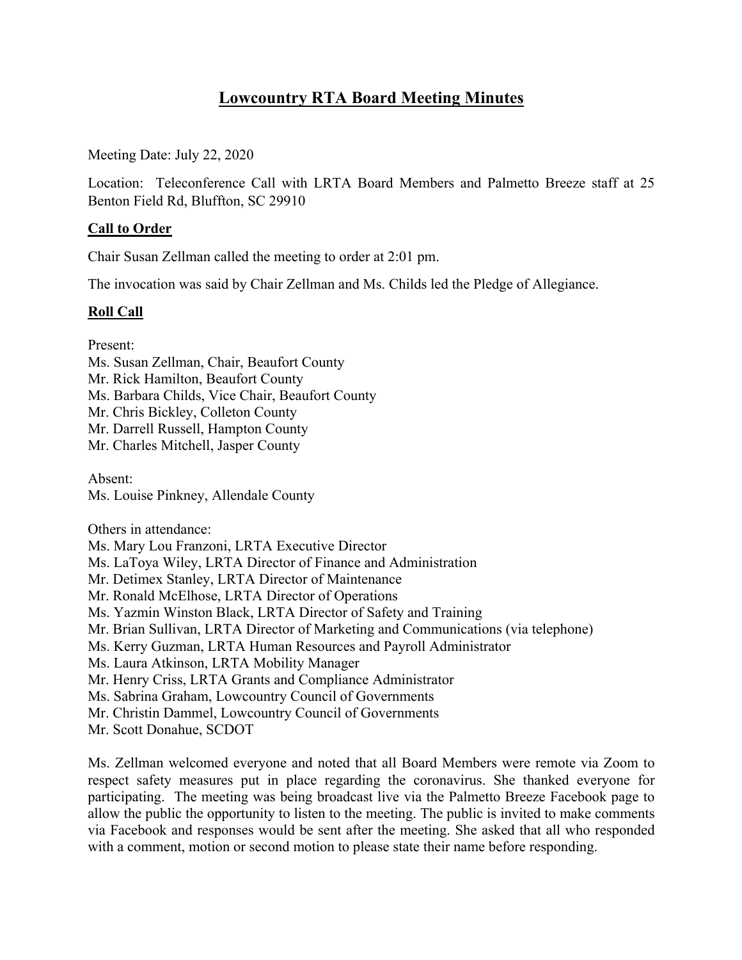# **Lowcountry RTA Board Meeting Minutes**

Meeting Date: July 22, 2020

Location: Teleconference Call with LRTA Board Members and Palmetto Breeze staff at 25 Benton Field Rd, Bluffton, SC 29910

# **Call to Order**

Chair Susan Zellman called the meeting to order at 2:01 pm.

The invocation was said by Chair Zellman and Ms. Childs led the Pledge of Allegiance.

## **Roll Call**

Present:

Ms. Susan Zellman, Chair, Beaufort County Mr. Rick Hamilton, Beaufort County Ms. Barbara Childs, Vice Chair, Beaufort County Mr. Chris Bickley, Colleton County Mr. Darrell Russell, Hampton County Mr. Charles Mitchell, Jasper County

Absent: Ms. Louise Pinkney, Allendale County

Others in attendance: Ms. Mary Lou Franzoni, LRTA Executive Director Ms. LaToya Wiley, LRTA Director of Finance and Administration Mr. Detimex Stanley, LRTA Director of Maintenance Mr. Ronald McElhose, LRTA Director of Operations Ms. Yazmin Winston Black, LRTA Director of Safety and Training Mr. Brian Sullivan, LRTA Director of Marketing and Communications (via telephone) Ms. Kerry Guzman, LRTA Human Resources and Payroll Administrator Ms. Laura Atkinson, LRTA Mobility Manager Mr. Henry Criss, LRTA Grants and Compliance Administrator Ms. Sabrina Graham, Lowcountry Council of Governments Mr. Christin Dammel, Lowcountry Council of Governments Mr. Scott Donahue, SCDOT

Ms. Zellman welcomed everyone and noted that all Board Members were remote via Zoom to respect safety measures put in place regarding the coronavirus. She thanked everyone for participating. The meeting was being broadcast live via the Palmetto Breeze Facebook page to allow the public the opportunity to listen to the meeting. The public is invited to make comments via Facebook and responses would be sent after the meeting. She asked that all who responded with a comment, motion or second motion to please state their name before responding.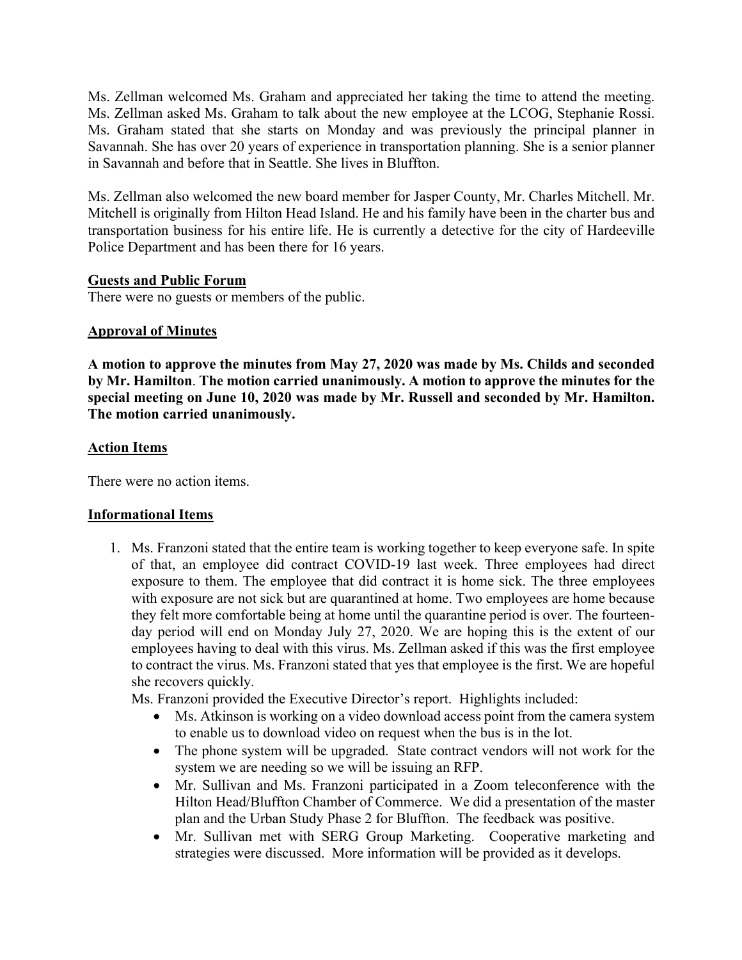Ms. Zellman welcomed Ms. Graham and appreciated her taking the time to attend the meeting. Ms. Zellman asked Ms. Graham to talk about the new employee at the LCOG, Stephanie Rossi. Ms. Graham stated that she starts on Monday and was previously the principal planner in Savannah. She has over 20 years of experience in transportation planning. She is a senior planner in Savannah and before that in Seattle. She lives in Bluffton.

Ms. Zellman also welcomed the new board member for Jasper County, Mr. Charles Mitchell. Mr. Mitchell is originally from Hilton Head Island. He and his family have been in the charter bus and transportation business for his entire life. He is currently a detective for the city of Hardeeville Police Department and has been there for 16 years.

## **Guests and Public Forum**

There were no guests or members of the public.

# **Approval of Minutes**

**A motion to approve the minutes from May 27, 2020 was made by Ms. Childs and seconded by Mr. Hamilton**. **The motion carried unanimously. A motion to approve the minutes for the special meeting on June 10, 2020 was made by Mr. Russell and seconded by Mr. Hamilton. The motion carried unanimously.** 

## **Action Items**

There were no action items.

# **Informational Items**

1. Ms. Franzoni stated that the entire team is working together to keep everyone safe. In spite of that, an employee did contract COVID-19 last week. Three employees had direct exposure to them. The employee that did contract it is home sick. The three employees with exposure are not sick but are quarantined at home. Two employees are home because they felt more comfortable being at home until the quarantine period is over. The fourteenday period will end on Monday July 27, 2020. We are hoping this is the extent of our employees having to deal with this virus. Ms. Zellman asked if this was the first employee to contract the virus. Ms. Franzoni stated that yes that employee is the first. We are hopeful she recovers quickly.

Ms. Franzoni provided the Executive Director's report. Highlights included:

- Ms. Atkinson is working on a video download access point from the camera system to enable us to download video on request when the bus is in the lot.
- The phone system will be upgraded. State contract vendors will not work for the system we are needing so we will be issuing an RFP.
- Mr. Sullivan and Ms. Franzoni participated in a Zoom teleconference with the Hilton Head/Bluffton Chamber of Commerce. We did a presentation of the master plan and the Urban Study Phase 2 for Bluffton. The feedback was positive.
- Mr. Sullivan met with SERG Group Marketing. Cooperative marketing and strategies were discussed. More information will be provided as it develops.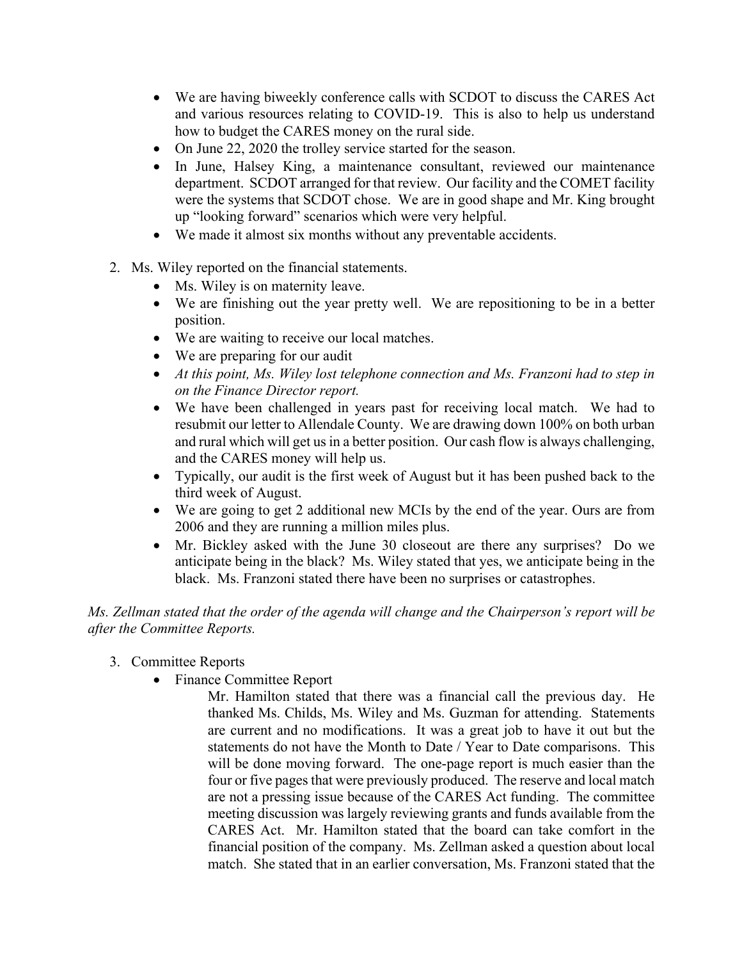- We are having biweekly conference calls with SCDOT to discuss the CARES Act and various resources relating to COVID-19. This is also to help us understand how to budget the CARES money on the rural side.
- On June 22, 2020 the trolley service started for the season.
- In June, Halsey King, a maintenance consultant, reviewed our maintenance department. SCDOT arranged for that review. Our facility and the COMET facility were the systems that SCDOT chose. We are in good shape and Mr. King brought up "looking forward" scenarios which were very helpful.
- We made it almost six months without any preventable accidents.
- 2. Ms. Wiley reported on the financial statements.
	- Ms. Wiley is on maternity leave.
	- We are finishing out the year pretty well. We are repositioning to be in a better position.
	- We are waiting to receive our local matches.
	- We are preparing for our audit
	- *At this point, Ms. Wiley lost telephone connection and Ms. Franzoni had to step in on the Finance Director report.*
	- We have been challenged in years past for receiving local match. We had to resubmit our letter to Allendale County. We are drawing down 100% on both urban and rural which will get us in a better position. Our cash flow is always challenging, and the CARES money will help us.
	- Typically, our audit is the first week of August but it has been pushed back to the third week of August.
	- We are going to get 2 additional new MCIs by the end of the year. Ours are from 2006 and they are running a million miles plus.
	- Mr. Bickley asked with the June 30 closeout are there any surprises? Do we anticipate being in the black? Ms. Wiley stated that yes, we anticipate being in the black. Ms. Franzoni stated there have been no surprises or catastrophes.

*Ms. Zellman stated that the order of the agenda will change and the Chairperson's report will be after the Committee Reports.* 

- 3. Committee Reports
	- Finance Committee Report
		- Mr. Hamilton stated that there was a financial call the previous day. He thanked Ms. Childs, Ms. Wiley and Ms. Guzman for attending. Statements are current and no modifications. It was a great job to have it out but the statements do not have the Month to Date / Year to Date comparisons. This will be done moving forward. The one-page report is much easier than the four or five pages that were previously produced. The reserve and local match are not a pressing issue because of the CARES Act funding. The committee meeting discussion was largely reviewing grants and funds available from the CARES Act. Mr. Hamilton stated that the board can take comfort in the financial position of the company. Ms. Zellman asked a question about local match. She stated that in an earlier conversation, Ms. Franzoni stated that the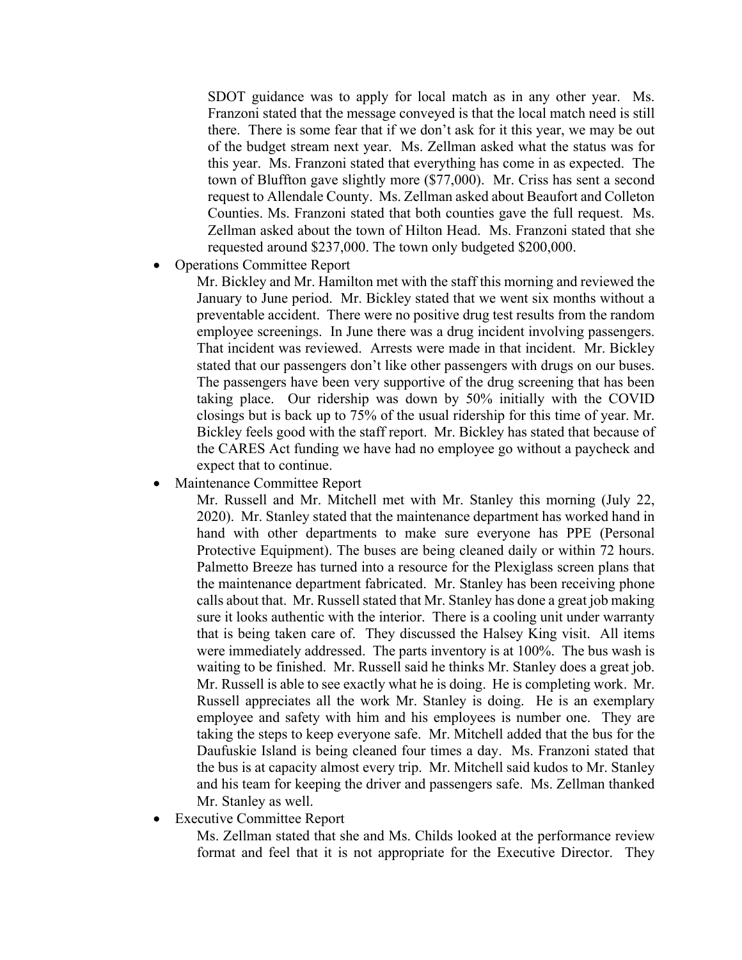SDOT guidance was to apply for local match as in any other year. Ms. Franzoni stated that the message conveyed is that the local match need is still there. There is some fear that if we don't ask for it this year, we may be out of the budget stream next year. Ms. Zellman asked what the status was for this year. Ms. Franzoni stated that everything has come in as expected. The town of Bluffton gave slightly more (\$77,000). Mr. Criss has sent a second request to Allendale County. Ms. Zellman asked about Beaufort and Colleton Counties. Ms. Franzoni stated that both counties gave the full request. Ms. Zellman asked about the town of Hilton Head. Ms. Franzoni stated that she requested around \$237,000. The town only budgeted \$200,000.

### • Operations Committee Report

Mr. Bickley and Mr. Hamilton met with the staff this morning and reviewed the January to June period. Mr. Bickley stated that we went six months without a preventable accident. There were no positive drug test results from the random employee screenings. In June there was a drug incident involving passengers. That incident was reviewed. Arrests were made in that incident. Mr. Bickley stated that our passengers don't like other passengers with drugs on our buses. The passengers have been very supportive of the drug screening that has been taking place. Our ridership was down by 50% initially with the COVID closings but is back up to 75% of the usual ridership for this time of year. Mr. Bickley feels good with the staff report. Mr. Bickley has stated that because of the CARES Act funding we have had no employee go without a paycheck and expect that to continue.

• Maintenance Committee Report

Mr. Russell and Mr. Mitchell met with Mr. Stanley this morning (July 22, 2020). Mr. Stanley stated that the maintenance department has worked hand in hand with other departments to make sure everyone has PPE (Personal Protective Equipment). The buses are being cleaned daily or within 72 hours. Palmetto Breeze has turned into a resource for the Plexiglass screen plans that the maintenance department fabricated. Mr. Stanley has been receiving phone calls about that. Mr. Russell stated that Mr. Stanley has done a great job making sure it looks authentic with the interior. There is a cooling unit under warranty that is being taken care of. They discussed the Halsey King visit. All items were immediately addressed. The parts inventory is at 100%. The bus wash is waiting to be finished. Mr. Russell said he thinks Mr. Stanley does a great job. Mr. Russell is able to see exactly what he is doing. He is completing work. Mr. Russell appreciates all the work Mr. Stanley is doing. He is an exemplary employee and safety with him and his employees is number one. They are taking the steps to keep everyone safe. Mr. Mitchell added that the bus for the Daufuskie Island is being cleaned four times a day. Ms. Franzoni stated that the bus is at capacity almost every trip. Mr. Mitchell said kudos to Mr. Stanley and his team for keeping the driver and passengers safe. Ms. Zellman thanked Mr. Stanley as well.

• Executive Committee Report

Ms. Zellman stated that she and Ms. Childs looked at the performance review format and feel that it is not appropriate for the Executive Director. They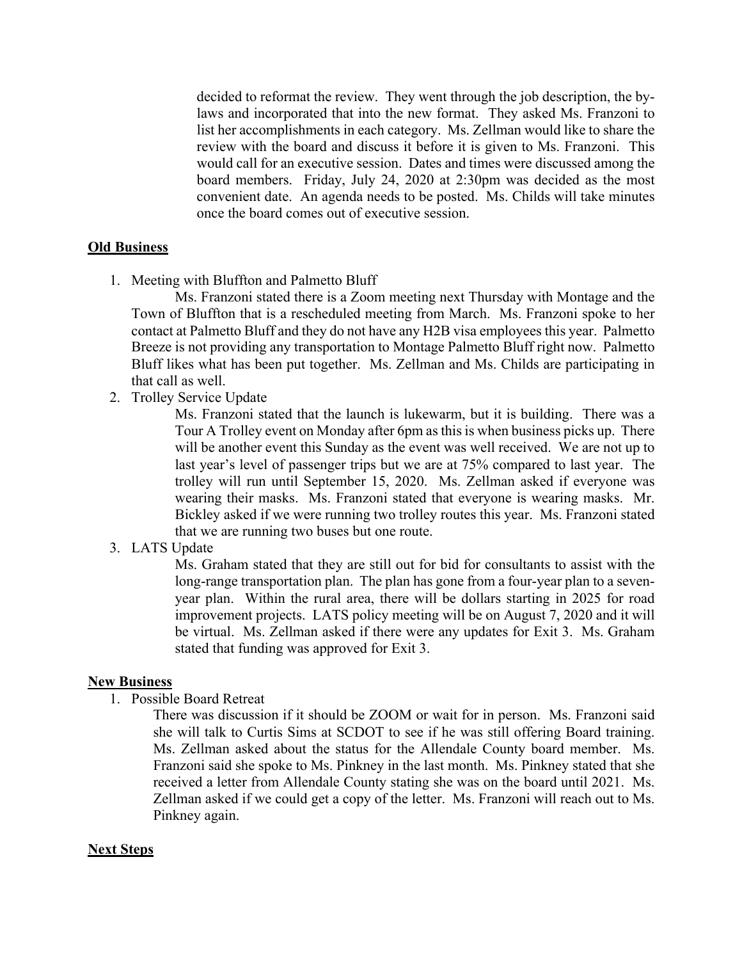decided to reformat the review. They went through the job description, the bylaws and incorporated that into the new format. They asked Ms. Franzoni to list her accomplishments in each category. Ms. Zellman would like to share the review with the board and discuss it before it is given to Ms. Franzoni. This would call for an executive session. Dates and times were discussed among the board members. Friday, July 24, 2020 at 2:30pm was decided as the most convenient date. An agenda needs to be posted. Ms. Childs will take minutes once the board comes out of executive session.

#### **Old Business**

1. Meeting with Bluffton and Palmetto Bluff

Ms. Franzoni stated there is a Zoom meeting next Thursday with Montage and the Town of Bluffton that is a rescheduled meeting from March. Ms. Franzoni spoke to her contact at Palmetto Bluff and they do not have any H2B visa employees this year. Palmetto Breeze is not providing any transportation to Montage Palmetto Bluff right now. Palmetto Bluff likes what has been put together. Ms. Zellman and Ms. Childs are participating in that call as well.

2. Trolley Service Update

Ms. Franzoni stated that the launch is lukewarm, but it is building. There was a Tour A Trolley event on Monday after 6pm as this is when business picks up. There will be another event this Sunday as the event was well received. We are not up to last year's level of passenger trips but we are at 75% compared to last year. The trolley will run until September 15, 2020. Ms. Zellman asked if everyone was wearing their masks. Ms. Franzoni stated that everyone is wearing masks. Mr. Bickley asked if we were running two trolley routes this year. Ms. Franzoni stated that we are running two buses but one route.

#### 3. LATS Update

Ms. Graham stated that they are still out for bid for consultants to assist with the long-range transportation plan. The plan has gone from a four-year plan to a sevenyear plan. Within the rural area, there will be dollars starting in 2025 for road improvement projects. LATS policy meeting will be on August 7, 2020 and it will be virtual. Ms. Zellman asked if there were any updates for Exit 3. Ms. Graham stated that funding was approved for Exit 3.

#### **New Business**

1. Possible Board Retreat

There was discussion if it should be ZOOM or wait for in person. Ms. Franzoni said she will talk to Curtis Sims at SCDOT to see if he was still offering Board training. Ms. Zellman asked about the status for the Allendale County board member. Ms. Franzoni said she spoke to Ms. Pinkney in the last month. Ms. Pinkney stated that she received a letter from Allendale County stating she was on the board until 2021. Ms. Zellman asked if we could get a copy of the letter. Ms. Franzoni will reach out to Ms. Pinkney again.

#### **Next Steps**